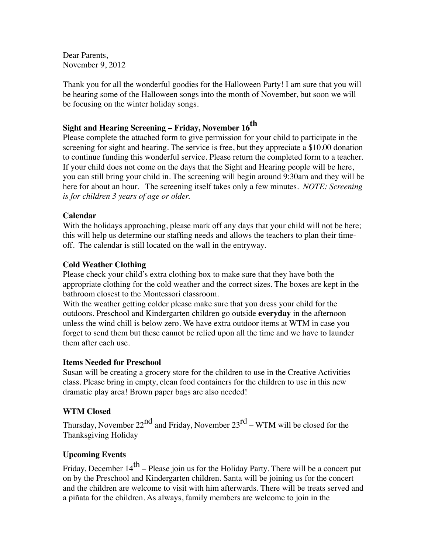Dear Parents, November 9, 2012

Thank you for all the wonderful goodies for the Halloween Party! I am sure that you will be hearing some of the Halloween songs into the month of November, but soon we will be focusing on the winter holiday songs.

# **Sight and Hearing Screening – Friday, November 16th**

Please complete the attached form to give permission for your child to participate in the screening for sight and hearing. The service is free, but they appreciate a \$10.00 donation to continue funding this wonderful service. Please return the completed form to a teacher. If your child does not come on the days that the Sight and Hearing people will be here, you can still bring your child in. The screening will begin around 9:30am and they will be here for about an hour. The screening itself takes only a few minutes. *NOTE: Screening is for children 3 years of age or older.*

### **Calendar**

With the holidays approaching, please mark off any days that your child will not be here; this will help us determine our staffing needs and allows the teachers to plan their timeoff. The calendar is still located on the wall in the entryway.

### **Cold Weather Clothing**

Please check your child's extra clothing box to make sure that they have both the appropriate clothing for the cold weather and the correct sizes. The boxes are kept in the bathroom closest to the Montessori classroom.

With the weather getting colder please make sure that you dress your child for the outdoors. Preschool and Kindergarten children go outside **everyday** in the afternoon unless the wind chill is below zero. We have extra outdoor items at WTM in case you forget to send them but these cannot be relied upon all the time and we have to launder them after each use.

### **Items Needed for Preschool**

Susan will be creating a grocery store for the children to use in the Creative Activities class. Please bring in empty, clean food containers for the children to use in this new dramatic play area! Brown paper bags are also needed!

### **WTM Closed**

Thursday, November  $22^{nd}$  and Friday, November  $23^{rd}$  – WTM will be closed for the Thanksgiving Holiday

## **Upcoming Events**

Friday, December  $14<sup>th</sup>$  – Please join us for the Holiday Party. There will be a concert put on by the Preschool and Kindergarten children. Santa will be joining us for the concert and the children are welcome to visit with him afterwards. There will be treats served and a piñata for the children. As always, family members are welcome to join in the